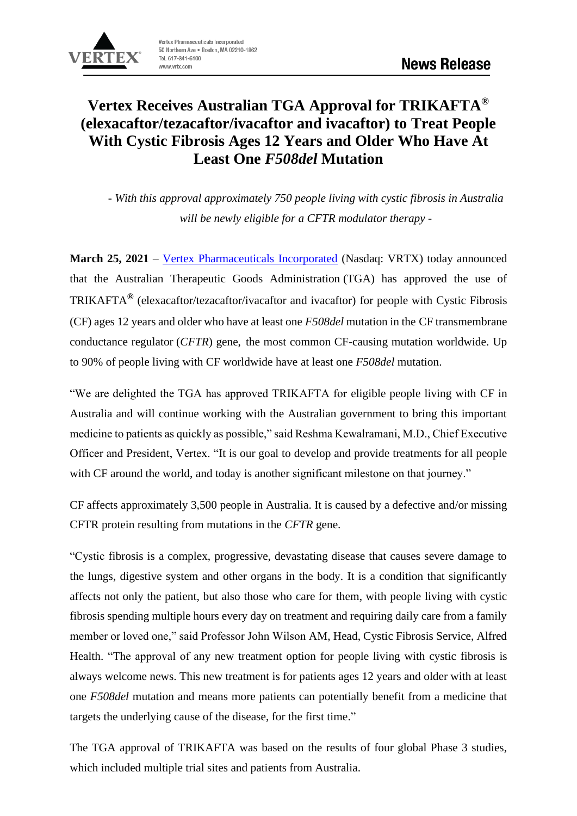

# **Vertex Receives Australian TGA Approval for TRIKAFTA® (elexacaftor/tezacaftor/ivacaftor and ivacaftor) to Treat People With Cystic Fibrosis Ages 12 Years and Older Who Have At Least One** *F508del* **Mutation**

*- With this approval approximately 750 people living with cystic fibrosis in Australia will be newly eligible for a CFTR modulator therapy -*

**March 25, 2021** – [Vertex Pharmaceuticals Incorporated](https://global.vrtx.com/) (Nasdaq: VRTX) today announced that the Australian Therapeutic Goods Administration (TGA) has approved the use of TRIKAFTA**®** (elexacaftor/tezacaftor/ivacaftor and ivacaftor) for people with Cystic Fibrosis (CF) ages 12 years and older who have at least one *F508del* mutation in the CF transmembrane conductance regulator (*CFTR*) gene, the most common CF-causing mutation worldwide. Up to 90% of people living with CF worldwide have at least one *F508del* mutation.

"We are delighted the TGA has approved TRIKAFTA for eligible people living with CF in Australia and will continue working with the Australian government to bring this important medicine to patients as quickly as possible," said Reshma Kewalramani, M.D., Chief Executive Officer and President, Vertex. "It is our goal to develop and provide treatments for all people with CF around the world, and today is another significant milestone on that journey."

CF affects approximately 3,500 people in Australia. It is caused by a defective and/or missing CFTR protein resulting from mutations in the *CFTR* gene.

"Cystic fibrosis is a complex, progressive, devastating disease that causes severe damage to the lungs, digestive system and other organs in the body. It is a condition that significantly affects not only the patient, but also those who care for them, with people living with cystic fibrosis spending multiple hours every day on treatment and requiring daily care from a family member or loved one," said Professor John Wilson AM, Head, Cystic Fibrosis Service, Alfred Health. "The approval of any new treatment option for people living with cystic fibrosis is always welcome news. This new treatment is for patients ages 12 years and older with at least one *F508del* mutation and means more patients can potentially benefit from a medicine that targets the underlying cause of the disease, for the first time."

The TGA approval of TRIKAFTA was based on the results of four global Phase 3 studies, which included multiple trial sites and patients from Australia.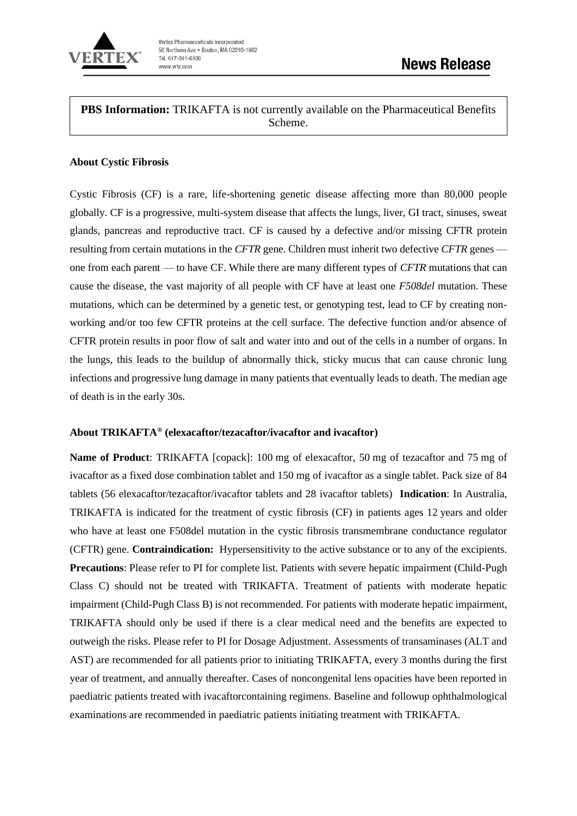

**PBS Information:** TRIKAFTA is not currently available on the Pharmaceutical Benefits Scheme.

#### **About Cystic Fibrosis**

Cystic Fibrosis (CF) is a rare, life-shortening genetic disease affecting more than 80,000 people globally. CF is a progressive, multi-system disease that affects the lungs, liver, GI tract, sinuses, sweat glands, pancreas and reproductive tract. CF is caused by a defective and/or missing CFTR protein resulting from certain mutations in the *CFTR* gene. Children must inherit two defective *CFTR* genes one from each parent — to have CF. While there are many different types of *CFTR* mutations that can cause the disease, the vast majority of all people with CF have at least one *F508del* mutation. These mutations, which can be determined by a genetic test, or genotyping test, lead to CF by creating nonworking and/or too few CFTR proteins at the cell surface. The defective function and/or absence of CFTR protein results in poor flow of salt and water into and out of the cells in a number of organs. In the lungs, this leads to the buildup of abnormally thick, sticky mucus that can cause chronic lung infections and progressive lung damage in many patients that eventually leads to death. The median age of death is in the early 30s.

## **About TRIKAFTA® (elexacaftor/tezacaftor/ivacaftor and ivacaftor)**

**Name of Product**: TRIKAFTA [copack]: 100 mg of elexacaftor, 50 mg of tezacaftor and 75 mg of ivacaftor as a fixed dose combination tablet and 150 mg of ivacaftor as a single tablet. Pack size of 84 tablets (56 elexacaftor/tezacaftor/ivacaftor tablets and 28 ivacaftor tablets) **Indication**: In Australia, TRIKAFTA is indicated for the treatment of cystic fibrosis (CF) in patients ages 12 years and older who have at least one F508del mutation in the cystic fibrosis transmembrane conductance regulator (CFTR) gene. **Contraindication:** Hypersensitivity to the active substance or to any of the excipients. **Precautions**: Please refer to PI for complete list. Patients with severe hepatic impairment (Child-Pugh Class C) should not be treated with TRIKAFTA. Treatment of patients with moderate hepatic impairment (Child-Pugh Class B) is not recommended. For patients with moderate hepatic impairment, TRIKAFTA should only be used if there is a clear medical need and the benefits are expected to outweigh the risks. Please refer to PI for Dosage Adjustment. Assessments of transaminases (ALT and AST) are recommended for all patients prior to initiating TRIKAFTA, every 3 months during the first year of treatment, and annually thereafter. Cases of noncongenital lens opacities have been reported in paediatric patients treated with ivacaftorcontaining regimens. Baseline and followup ophthalmological examinations are recommended in paediatric patients initiating treatment with TRIKAFTA.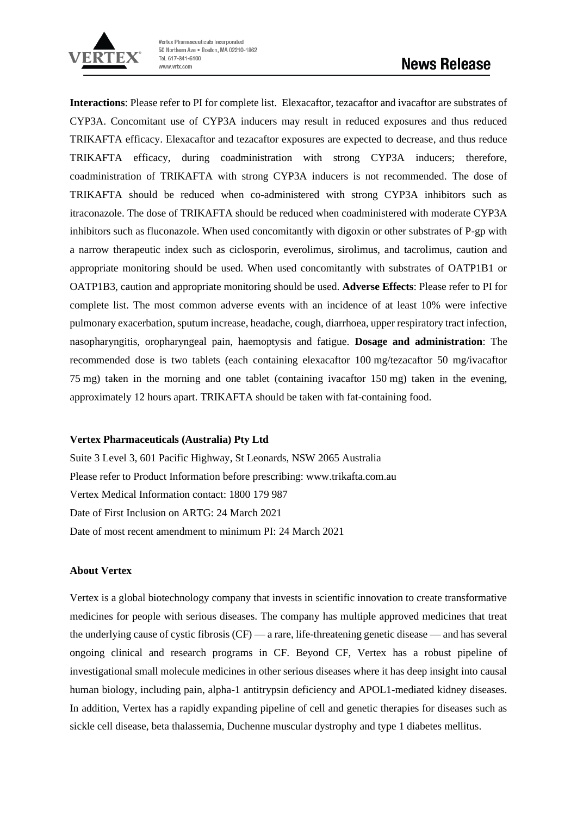

**Interactions**: Please refer to PI for complete list.Elexacaftor, tezacaftor and ivacaftor are substrates of CYP3A. Concomitant use of CYP3A inducers may result in reduced exposures and thus reduced TRIKAFTA efficacy. Elexacaftor and tezacaftor exposures are expected to decrease, and thus reduce TRIKAFTA efficacy, during coadministration with strong CYP3A inducers; therefore, coadministration of TRIKAFTA with strong CYP3A inducers is not recommended. The dose of TRIKAFTA should be reduced when co-administered with strong CYP3A inhibitors such as itraconazole. The dose of TRIKAFTA should be reduced when coadministered with moderate CYP3A inhibitors such as fluconazole. When used concomitantly with digoxin or other substrates of P-gp with a narrow therapeutic index such as ciclosporin, everolimus, sirolimus, and tacrolimus, caution and appropriate monitoring should be used. When used concomitantly with substrates of OATP1B1 or OATP1B3, caution and appropriate monitoring should be used. **Adverse Effects**: Please refer to PI for complete list. The most common adverse events with an incidence of at least 10% were infective pulmonary exacerbation, sputum increase, headache, cough, diarrhoea, upper respiratory tract infection, nasopharyngitis, oropharyngeal pain, haemoptysis and fatigue. **Dosage and administration**: The recommended dose is two tablets (each containing elexacaftor 100 mg/tezacaftor 50 mg/ivacaftor 75 mg) taken in the morning and one tablet (containing ivacaftor 150 mg) taken in the evening, approximately 12 hours apart. TRIKAFTA should be taken with fat-containing food.

### **Vertex Pharmaceuticals (Australia) Pty Ltd**

Suite 3 Level 3, 601 Pacific Highway, St Leonards, NSW 2065 Australia Please refer to Product Information before prescribing: www.trikafta.com.au Vertex Medical Information contact: 1800 179 987 Date of First Inclusion on ARTG: 24 March 2021 Date of most recent amendment to minimum PI: 24 March 2021

### **About Vertex**

Vertex is a global biotechnology company that invests in scientific innovation to create transformative medicines for people with serious diseases. The company has multiple approved medicines that treat the underlying cause of cystic fibrosis (CF) — a rare, life-threatening genetic disease — and has several ongoing clinical and research programs in CF. Beyond CF, Vertex has a robust pipeline of investigational small molecule medicines in other serious diseases where it has deep insight into causal human biology, including pain, alpha-1 antitrypsin deficiency and APOL1-mediated kidney diseases. In addition, Vertex has a rapidly expanding pipeline of cell and genetic therapies for diseases such as sickle cell disease, beta thalassemia, Duchenne muscular dystrophy and type 1 diabetes mellitus.